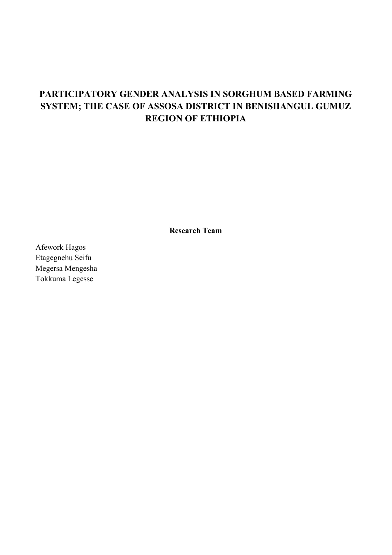# **PARTICIPATORY GENDER ANALYSIS IN SORGHUM BASED FARMING SYSTEM; THE CASE OF ASSOSA DISTRICT IN BENISHANGUL GUMUZ REGION OF ETHIOPIA**

**Research Team**

Afework Hagos Etagegnehu Seifu Megersa Mengesha Tokkuma Legesse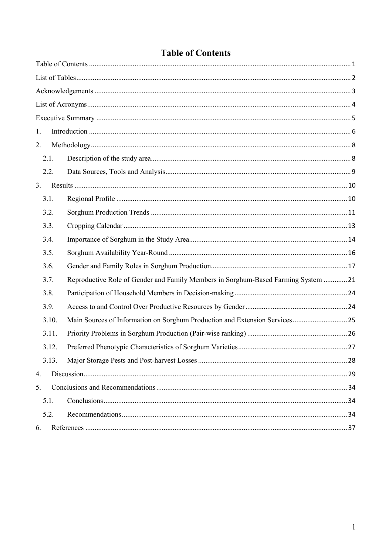<span id="page-1-0"></span>

| 1.    |                                                                                    |  |
|-------|------------------------------------------------------------------------------------|--|
| 2.    |                                                                                    |  |
| 2.1.  |                                                                                    |  |
| 2.2.  |                                                                                    |  |
| 3.    |                                                                                    |  |
| 3.1.  |                                                                                    |  |
| 3.2.  |                                                                                    |  |
| 3.3.  |                                                                                    |  |
| 3.4.  |                                                                                    |  |
| 3.5.  |                                                                                    |  |
| 3.6.  |                                                                                    |  |
| 3.7.  | Reproductive Role of Gender and Family Members in Sorghum-Based Farming System  21 |  |
| 3.8.  |                                                                                    |  |
| 3.9.  |                                                                                    |  |
| 3.10. | Main Sources of Information on Sorghum Production and Extension Services25         |  |
| 3.11. |                                                                                    |  |
| 3.12. |                                                                                    |  |
| 3.13. |                                                                                    |  |
| 4.    |                                                                                    |  |
| 5.    |                                                                                    |  |
| 5.1.  |                                                                                    |  |
| 5.2.  |                                                                                    |  |
| 6.    |                                                                                    |  |

# **Table of Contents**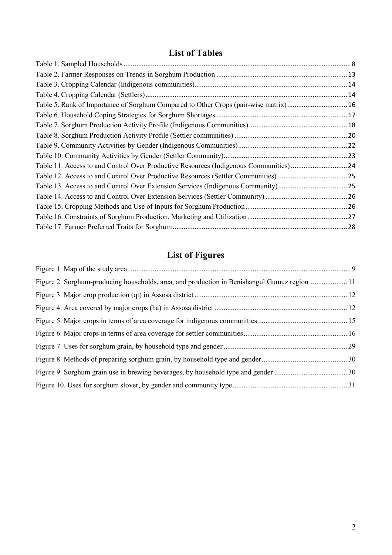# **List of Tables**

<span id="page-2-0"></span>

| Table 5. Rank of Importance of Sorghum Compared to Other Crops (pair-wise matrix)16  |  |
|--------------------------------------------------------------------------------------|--|
|                                                                                      |  |
|                                                                                      |  |
|                                                                                      |  |
|                                                                                      |  |
|                                                                                      |  |
| Table 11. Access to and Control Over Productive Resources (Indigenous Communities)24 |  |
|                                                                                      |  |
|                                                                                      |  |
|                                                                                      |  |
|                                                                                      |  |
|                                                                                      |  |
|                                                                                      |  |

# **List of Figures**

| Figure 2. Sorghum-producing households, area, and production in Benishangul Gumuz region 11 |  |
|---------------------------------------------------------------------------------------------|--|
|                                                                                             |  |
|                                                                                             |  |
|                                                                                             |  |
|                                                                                             |  |
|                                                                                             |  |
|                                                                                             |  |
|                                                                                             |  |
|                                                                                             |  |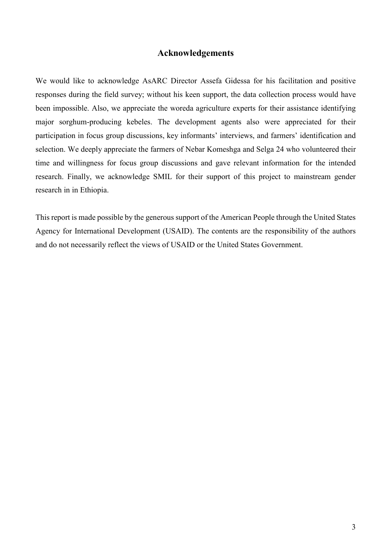# **Acknowledgements**

<span id="page-3-0"></span>We would like to acknowledge AsARC Director Assefa Gidessa for his facilitation and positive responses during the field survey; without his keen support, the data collection process would have been impossible. Also, we appreciate the woreda agriculture experts for their assistance identifying major sorghum-producing kebeles. The development agents also were appreciated for their participation in focus group discussions, key informants' interviews, and farmers' identification and selection. We deeply appreciate the farmers of Nebar Komeshga and Selga 24 who volunteered their time and willingness for focus group discussions and gave relevant information for the intended research. Finally, we acknowledge SMIL for their support of this project to mainstream gender research in in Ethiopia.

This report is made possible by the generous support of the American People through the United States Agency for International Development (USAID). The contents are the responsibility of the authors and do not necessarily reflect the views of USAID or the United States Government.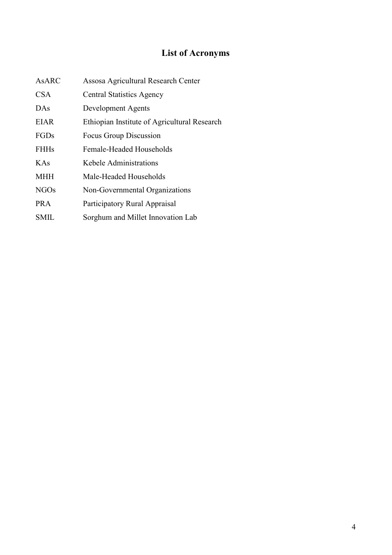# **List of Acronyms**

<span id="page-4-0"></span>

| <b>AsARC</b> | Assosa Agricultural Research Center          |
|--------------|----------------------------------------------|
| CSA          | <b>Central Statistics Agency</b>             |
| DAS          | Development Agents                           |
| <b>EIAR</b>  | Ethiopian Institute of Agricultural Research |
| FGDs         | Focus Group Discussion                       |
| <b>FHHs</b>  | Female-Headed Households                     |
| KAs          | Kebele Administrations                       |
| <b>MHH</b>   | Male-Headed Households                       |
| <b>NGOs</b>  | Non-Governmental Organizations               |
| <b>PRA</b>   | Participatory Rural Appraisal                |
| SMIL         | Sorghum and Millet Innovation Lab            |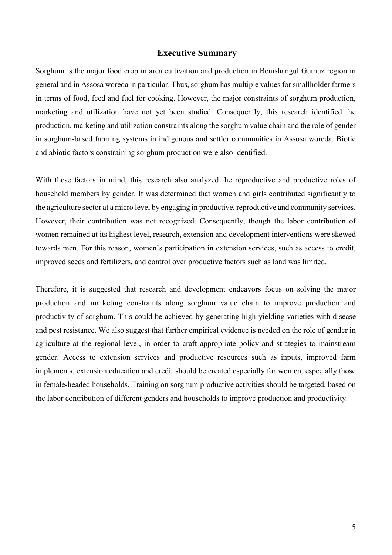### **Executive Summary**

<span id="page-5-0"></span>Sorghum is the major food crop in area cultivation and production in Benishangul Gumuz region in general and in Assosa woreda in particular. Thus, sorghum has multiple values for smallholder farmers in terms of food, feed and fuel for cooking. However, the major constraints of sorghum production, marketing and utilization have not yet been studied. Consequently, this research identified the production, marketing and utilization constraints along the sorghum value chain and the role of gender in sorghum-based farming systems in indigenous and settler communities in Assosa woreda. Biotic and abiotic factors constraining sorghum production were also identified.

With these factors in mind, this research also analyzed the reproductive and productive roles of household members by gender. It was determined that women and girls contributed significantly to the agriculture sector at a micro level by engaging in productive, reproductive and community services. However, their contribution was not recognized. Consequently, though the labor contribution of women remained at its highest level, research, extension and development interventions were skewed towards men. For this reason, women's participation in extension services, such as access to credit, improved seeds and fertilizers, and control over productive factors such as land was limited.

Therefore, it is suggested that research and development endeavors focus on solving the major production and marketing constraints along sorghum value chain to improve production and productivity of sorghum. This could be achieved by generating high-yielding varieties with disease and pest resistance. We also suggest that further empirical evidence is needed on the role of gender in agriculture at the regional level, in order to craft appropriate policy and strategies to mainstream gender. Access to extension services and productive resources such as inputs, improved farm implements, extension education and credit should be created especially for women, especially those in female-headed households. Training on sorghum productive activities should be targeted, based on the labor contribution of different genders and households to improve production and productivity.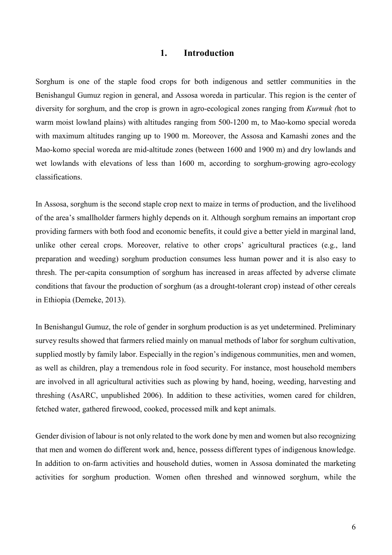## **1. Introduction**

<span id="page-6-0"></span>Sorghum is one of the staple food crops for both indigenous and settler communities in the Benishangul Gumuz region in general, and Assosa woreda in particular. This region is the center of diversity for sorghum, and the crop is grown in agro-ecological zones ranging from *Kurmuk (*hot to warm moist lowland plains) with altitudes ranging from 500-1200 m, to Mao-komo special woreda with maximum altitudes ranging up to 1900 m. Moreover, the Assosa and Kamashi zones and the Mao-komo special woreda are mid-altitude zones (between 1600 and 1900 m) and dry lowlands and wet lowlands with elevations of less than 1600 m, according to sorghum-growing agro-ecology classifications.

In Assosa, sorghum is the second staple crop next to maize in terms of production, and the livelihood of the area's smallholder farmers highly depends on it. Although sorghum remains an important crop providing farmers with both food and economic benefits, it could give a better yield in marginal land, unlike other cereal crops. Moreover, relative to other crops' agricultural practices (e.g., land preparation and weeding) sorghum production consumes less human power and it is also easy to thresh. The per-capita consumption of sorghum has increased in areas affected by adverse climate conditions that favour the production of sorghum (as a drought-tolerant crop) instead of other cereals in Ethiopia (Demeke, 2013).

In Benishangul Gumuz, the role of gender in sorghum production is as yet undetermined. Preliminary survey results showed that farmers relied mainly on manual methods of labor for sorghum cultivation, supplied mostly by family labor. Especially in the region's indigenous communities, men and women, as well as children, play a tremendous role in food security. For instance, most household members are involved in all agricultural activities such as plowing by hand, hoeing, weeding, harvesting and threshing (AsARC, unpublished 2006). In addition to these activities, women cared for children, fetched water, gathered firewood, cooked, processed milk and kept animals.

Gender division of labour is not only related to the work done by men and women but also recognizing that men and women do different work and, hence, possess different types of indigenous knowledge. In addition to on-farm activities and household duties, women in Assosa dominated the marketing activities for sorghum production. Women often threshed and winnowed sorghum, while the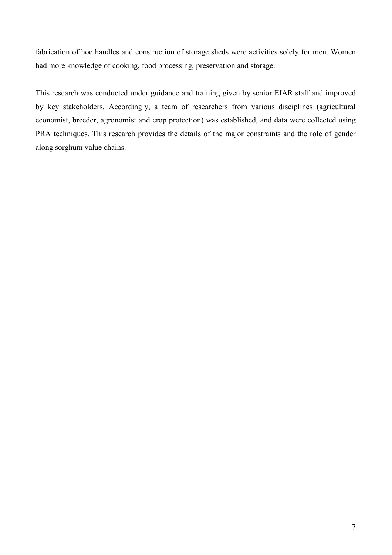fabrication of hoe handles and construction of storage sheds were activities solely for men. Women had more knowledge of cooking, food processing, preservation and storage.

This research was conducted under guidance and training given by senior EIAR staff and improved by key stakeholders. Accordingly, a team of researchers from various disciplines (agricultural economist, breeder, agronomist and crop protection) was established, and data were collected using PRA techniques. This research provides the details of the major constraints and the role of gender along sorghum value chains.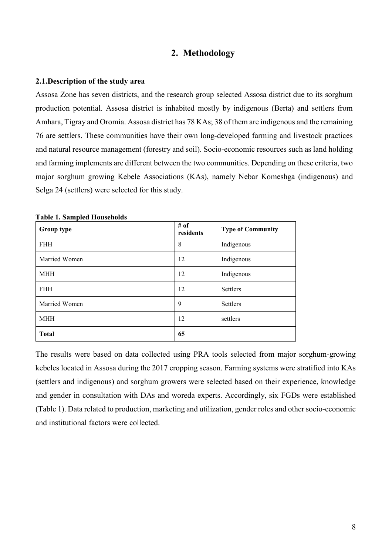## **2. Methodology**

#### <span id="page-8-1"></span><span id="page-8-0"></span>**2.1.Description of the study area**

Assosa Zone has seven districts, and the research group selected Assosa district due to its sorghum production potential. Assosa district is inhabited mostly by indigenous (Berta) and settlers from Amhara, Tigray and Oromia. Assosa district has 78 KAs; 38 of them are indigenous and the remaining 76 are settlers. These communities have their own long-developed farming and livestock practices and natural resource management (forestry and soil). Socio-economic resources such as land holding and farming implements are different between the two communities. Depending on these criteria, two major sorghum growing Kebele Associations (KAs), namely Nebar Komeshga (indigenous) and Selga 24 (settlers) were selected for this study.

| Group type    | # of<br>residents | <b>Type of Community</b> |
|---------------|-------------------|--------------------------|
| <b>FHH</b>    | 8                 | Indigenous               |
| Married Women | 12                | Indigenous               |
| <b>MHH</b>    | 12                | Indigenous               |
| <b>FHH</b>    | 12                | Settlers                 |
| Married Women | 9                 | Settlers                 |
| <b>MHH</b>    | 12                | settlers                 |
| <b>Total</b>  | 65                |                          |

<span id="page-8-2"></span>**Table 1. Sampled Households**

The results were based on data collected using PRA tools selected from major sorghum-growing kebeles located in Assosa during the 2017 cropping season. Farming systems were stratified into KAs (settlers and indigenous) and sorghum growers were selected based on their experience, knowledge and gender in consultation with DAs and woreda experts. Accordingly, six FGDs were established (Table 1). Data related to production, marketing and utilization, gender roles and other socio-economic and institutional factors were collected.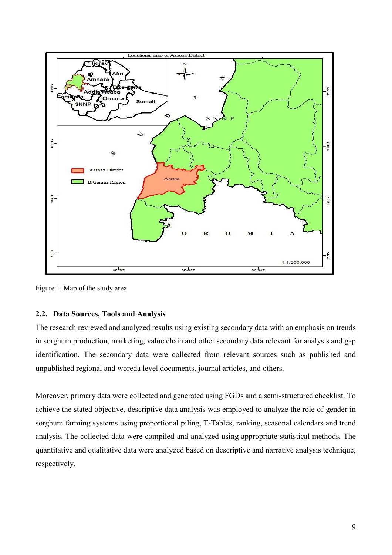

<span id="page-9-1"></span>Figure 1. Map of the study area

## <span id="page-9-0"></span>**2.2. Data Sources, Tools and Analysis**

The research reviewed and analyzed results using existing secondary data with an emphasis on trends in sorghum production, marketing, value chain and other secondary data relevant for analysis and gap identification. The secondary data were collected from relevant sources such as published and unpublished regional and woreda level documents, journal articles, and others.

Moreover, primary data were collected and generated using FGDs and a semi-structured checklist. To achieve the stated objective, descriptive data analysis was employed to analyze the role of gender in sorghum farming systems using proportional piling, T-Tables, ranking, seasonal calendars and trend analysis. The collected data were compiled and analyzed using appropriate statistical methods. The quantitative and qualitative data were analyzed based on descriptive and narrative analysis technique, respectively.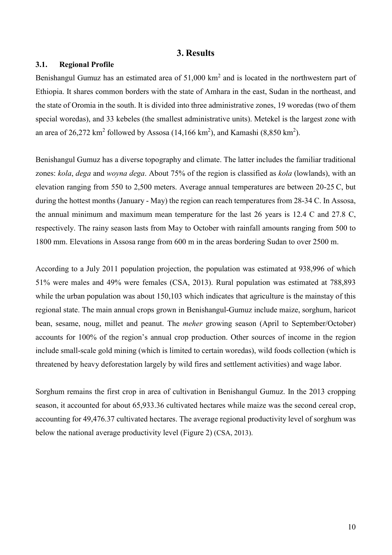### **3. Results**

## <span id="page-10-1"></span><span id="page-10-0"></span>**3.1. Regional Profile**

Benishangul Gumuz has an estimated area of 51,000 km<sup>2</sup> and is located in the northwestern part of Ethiopia. It shares common borders with the state of Amhara in the east, Sudan in the northeast, and the state of Oromia in the south. It is divided into three administrative zones, 19 woredas (two of them special woredas), and 33 kebeles (the smallest administrative units). Metekel is the largest zone with an area of 26,272 km<sup>2</sup> followed by Assosa (14,166 km<sup>2</sup>), and Kamashi (8,850 km<sup>2</sup>).

Benishangul Gumuz has a diverse topography and climate. The latter includes the familiar traditional zones: *kola*, *dega* and *woyna dega*. About 75% of the region is classified as *kola* (lowlands), with an elevation ranging from 550 to 2,500 meters. Average annual temperatures are between 20-25 C, but during the hottest months (January - May) the region can reach temperatures from 28-34 C. In Assosa, the annual minimum and maximum mean temperature for the last 26 years is 12.4 C and 27.8 C, respectively. The rainy season lasts from May to October with rainfall amounts ranging from 500 to 1800 mm. Elevations in Assosa range from 600 m in the areas bordering Sudan to over 2500 m.

According to a July 2011 population projection, the population was estimated at 938,996 of which 51% were males and 49% were females (CSA, 2013). Rural population was estimated at 788,893 while the urban population was about 150,103 which indicates that agriculture is the mainstay of this regional state. The main annual crops grown in Benishangul-Gumuz include maize, sorghum, haricot bean, sesame, noug, millet and peanut. The *meher* growing season (April to September/October) accounts for 100% of the region's annual crop production. Other sources of income in the region include small-scale gold mining (which is limited to certain woredas), wild foods collection (which is threatened by heavy deforestation largely by wild fires and settlement activities) and wage labor.

Sorghum remains the first crop in area of cultivation in Benishangul Gumuz. In the 2013 cropping season, it accounted for about 65,933.36 cultivated hectares while maize was the second cereal crop, accounting for 49,476.37 cultivated hectares. The average regional productivity level of sorghum was below the national average productivity level (Figure 2) (CSA, 2013).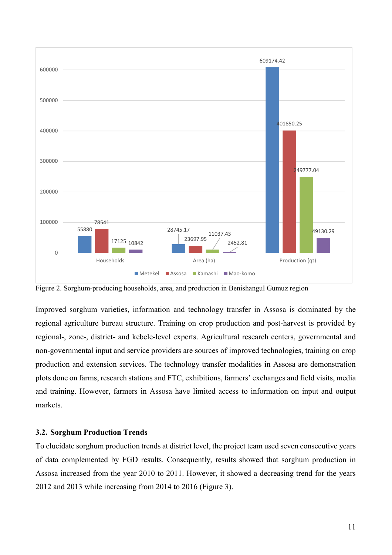

<span id="page-11-1"></span>Figure 2. Sorghum-producing households, area, and production in Benishangul Gumuz region

Improved sorghum varieties, information and technology transfer in Assosa is dominated by the regional agriculture bureau structure. Training on crop production and post-harvest is provided by regional-, zone-, district- and kebele-level experts. Agricultural research centers, governmental and non-governmental input and service providers are sources of improved technologies, training on crop production and extension services. The technology transfer modalities in Assosa are demonstration plots done on farms, research stations and FTC, exhibitions, farmers' exchanges and field visits, media and training. However, farmers in Assosa have limited access to information on input and output markets.

#### <span id="page-11-0"></span>**3.2. Sorghum Production Trends**

To elucidate sorghum production trends at district level, the project team used seven consecutive years of data complemented by FGD results. Consequently, results showed that sorghum production in Assosa increased from the year 2010 to 2011. However, it showed a decreasing trend for the years 2012 and 2013 while increasing from 2014 to 2016 (Figure 3).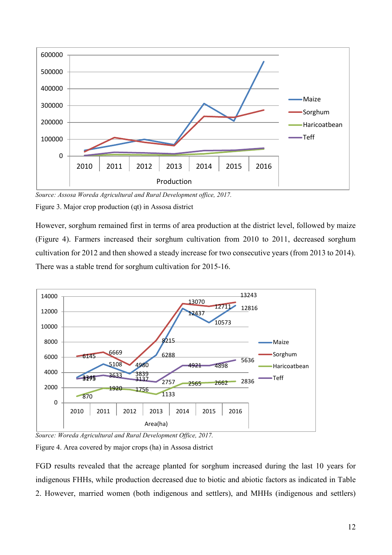

<span id="page-12-0"></span>*Source: Assosa Woreda Agricultural and Rural Development office, 2017.* Figure 3. Major crop production (qt) in Assosa district

However, sorghum remained first in terms of area production at the district level, followed by maize (Figure 4). Farmers increased their sorghum cultivation from 2010 to 2011, decreased sorghum cultivation for 2012 and then showed a steady increase for two consecutive years (from 2013 to 2014). There was a stable trend for sorghum cultivation for 2015-16.



*Source: Woreda Agricultural and Rural Development Office, 2017.*

<span id="page-12-1"></span>Figure 4. Area covered by major crops (ha) in Assosa district

FGD results revealed that the acreage planted for sorghum increased during the last 10 years for indigenous FHHs, while production decreased due to biotic and abiotic factors as indicated in Table 2. However, married women (both indigenous and settlers), and MHHs (indigenous and settlers)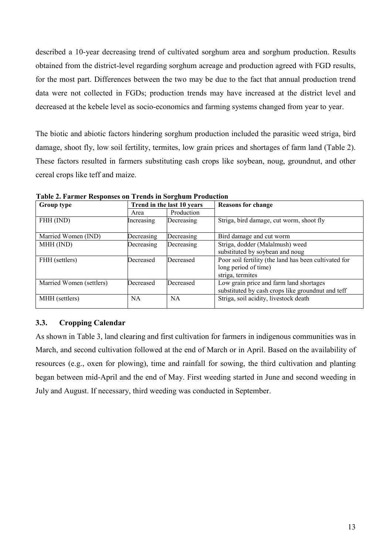described a 10-year decreasing trend of cultivated sorghum area and sorghum production. Results obtained from the district-level regarding sorghum acreage and production agreed with FGD results, for the most part. Differences between the two may be due to the fact that annual production trend data were not collected in FGDs; production trends may have increased at the district level and decreased at the kebele level as socio-economics and farming systems changed from year to year.

The biotic and abiotic factors hindering sorghum production included the parasitic weed striga, bird damage, shoot fly, low soil fertility, termites, low grain prices and shortages of farm land (Table 2). These factors resulted in farmers substituting cash crops like soybean, noug, groundnut, and other cereal crops like teff and maize.

| Group type               |            | Trend in the last 10 years | <b>Reasons for change</b>                             |
|--------------------------|------------|----------------------------|-------------------------------------------------------|
|                          | Area       | Production                 |                                                       |
| FHH (IND)                | Increasing | Decreasing                 | Striga, bird damage, cut worm, shoot fly              |
| Married Women (IND)      | Decreasing | Decreasing                 | Bird damage and cut worm                              |
| MHH (IND)                | Decreasing | Decreasing                 | Striga, dodder (Malalmush) weed                       |
|                          |            |                            | substituted by soybean and noug                       |
| FHH (settlers)           | Decreased  | Decreased                  | Poor soil fertility (the land has been cultivated for |
|                          |            |                            | long period of time)                                  |
|                          |            |                            | striga, termites                                      |
| Married Women (settlers) | Decreased  | Decreased                  | Low grain price and farm land shortages               |
|                          |            |                            | substituted by cash crops like groundnut and teff     |
| MHH (settlers)           | NA         | NA                         | Striga, soil acidity, livestock death                 |
|                          |            |                            |                                                       |

<span id="page-13-1"></span>**Table 2. Farmer Responses on Trends in Sorghum Production** 

# <span id="page-13-0"></span>**3.3. Cropping Calendar**

As shown in Table 3, land clearing and first cultivation for farmers in indigenous communities was in March, and second cultivation followed at the end of March or in April. Based on the availability of resources (e.g., oxen for plowing), time and rainfall for sowing, the third cultivation and planting began between mid-April and the end of May. First weeding started in June and second weeding in July and August. If necessary, third weeding was conducted in September.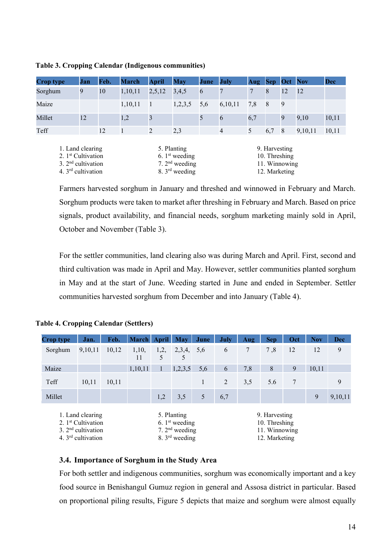| <b>Crop type</b>                                                                                   | <b>Jan</b> | Feb. | <b>March</b> | <b>April</b>   | <b>May</b>                                                                        | June | <b>July</b>    | Aug | $\mathbf{Sep}$                                                   |    | <b>Oct</b> Nov | <b>Dec</b> |
|----------------------------------------------------------------------------------------------------|------------|------|--------------|----------------|-----------------------------------------------------------------------------------|------|----------------|-----|------------------------------------------------------------------|----|----------------|------------|
| Sorghum                                                                                            | 9          | 10   | 1,10,11      | 2,5,12         | 3,4,5                                                                             | 6    | 7              | 7   | 8                                                                | 12 | <sup>12</sup>  |            |
| Maize                                                                                              |            |      | 1,10,11      | $\blacksquare$ | 1,2,3,5                                                                           | 5,6  | 6,10,11        | 7,8 | 8                                                                | 9  |                |            |
| Millet                                                                                             | 12         |      | 1,2          | 3              |                                                                                   | 5    | 6              | 6,7 |                                                                  | 9  | 9,10           | 10,11      |
| Teff                                                                                               |            | 12   |              | 2              | 2,3                                                                               |      | $\overline{4}$ | 5   | 6,7                                                              | 8  | 9,10,11        | 10,11      |
| 1. Land clearing<br>2. 1 <sup>st</sup> Cultivation<br>3. $2nd$ cultivation<br>4. $3rd$ cultivation |            |      |              |                | 5. Planting<br>6. $1st$ weeding<br>7. $2nd$ weeding<br>8. $3^{\text{rd}}$ weeding |      |                |     | 9. Harvesting<br>10. Threshing<br>11. Winnowing<br>12. Marketing |    |                |            |

<span id="page-14-1"></span>**Table 3. Cropping Calendar (Indigenous communities)**

Farmers harvested sorghum in January and threshed and winnowed in February and March. Sorghum products were taken to market after threshing in February and March. Based on price signals, product availability, and financial needs, sorghum marketing mainly sold in April, October and November (Table 3).

For the settler communities, land clearing also was during March and April. First, second and third cultivation was made in April and May. However, settler communities planted sorghum in May and at the start of June. Weeding started in June and ended in September. Settler communities harvested sorghum from December and into January (Table 4).

| <b>Crop type</b> | Jan.                                                                                              | Feb.  | <b>March</b> | <b>April</b> | <b>May</b>                                                                        | June | <b>July</b> | Aug | <b>Sep</b>                                                       | Oct | <b>Nov</b> | <b>Dec</b> |
|------------------|---------------------------------------------------------------------------------------------------|-------|--------------|--------------|-----------------------------------------------------------------------------------|------|-------------|-----|------------------------------------------------------------------|-----|------------|------------|
| Sorghum          | 9,10,11                                                                                           | 10,12 | 1,10,<br>11  | 1,2,<br>5    | 2,3,4,<br>5                                                                       | 5,6  | 6           | 7   | 7,8                                                              | 12  | 12         | 9          |
| Maize            |                                                                                                   |       | 1,10,11      | $\mathbf{1}$ | 1,2,3,5                                                                           | 5,6  | 6           | 7,8 | 8                                                                | 9   | 10,11      |            |
| Teff             | 10,11                                                                                             | 10,11 |              |              |                                                                                   | 1    | 2           | 3,5 | 5.6                                                              | 7   |            | 9          |
| Millet           |                                                                                                   |       |              | 1,2          | 3,5                                                                               | 5    | 6,7         |     |                                                                  |     | 9          | 9,10,11    |
|                  | 1. Land clearing<br>2. 1 <sup>st</sup> Cultivation<br>$3.2nd$ cultivation<br>4. $3rd$ cultivation |       |              |              | 5. Planting<br>6. $1st$ weeding<br>7. $2nd$ weeding<br>8. $3^{\text{rd}}$ weeding |      |             |     | 9. Harvesting<br>10. Threshing<br>11. Winnowing<br>12. Marketing |     |            |            |

## <span id="page-14-2"></span>**Table 4. Cropping Calendar (Settlers)**

## <span id="page-14-0"></span>**3.4. Importance of Sorghum in the Study Area**

For both settler and indigenous communities, sorghum was economically important and a key food source in Benishangul Gumuz region in general and Assosa district in particular. Based on proportional piling results, Figure 5 depicts that maize and sorghum were almost equally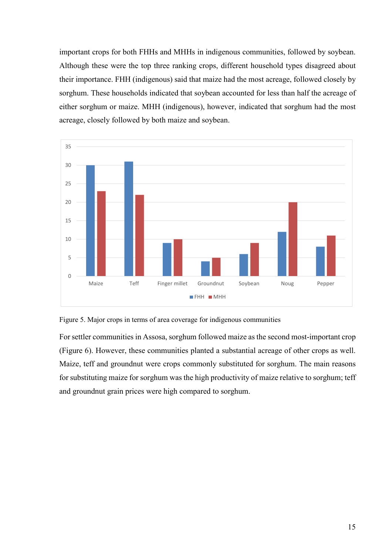important crops for both FHHs and MHHs in indigenous communities, followed by soybean. Although these were the top three ranking crops, different household types disagreed about their importance. FHH (indigenous) said that maize had the most acreage, followed closely by sorghum. These households indicated that soybean accounted for less than half the acreage of either sorghum or maize. MHH (indigenous), however, indicated that sorghum had the most acreage, closely followed by both maize and soybean.



<span id="page-15-0"></span>Figure 5. Major crops in terms of area coverage for indigenous communities

For settler communities in Assosa, sorghum followed maize as the second most-important crop (Figure 6). However, these communities planted a substantial acreage of other crops as well. Maize, teff and groundnut were crops commonly substituted for sorghum. The main reasons for substituting maize for sorghum was the high productivity of maize relative to sorghum; teff and groundnut grain prices were high compared to sorghum.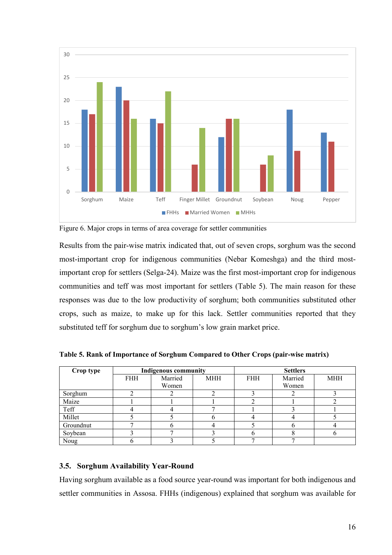

<span id="page-16-2"></span>Figure 6. Major crops in terms of area coverage for settler communities

Results from the pair-wise matrix indicated that, out of seven crops, sorghum was the second most-important crop for indigenous communities (Nebar Komeshga) and the third mostimportant crop for settlers (Selga-24). Maize was the first most-important crop for indigenous communities and teff was most important for settlers (Table 5). The main reason for these responses was due to the low productivity of sorghum; both communities substituted other crops, such as maize, to make up for this lack. Settler communities reported that they substituted teff for sorghum due to sorghum's low grain market price.

| Crop type |            | <b>Indigenous community</b> |            | <b>Settlers</b> |         |            |  |  |  |
|-----------|------------|-----------------------------|------------|-----------------|---------|------------|--|--|--|
|           | <b>FHH</b> | Married                     | <b>MHH</b> | <b>FHH</b>      | Married | <b>MHH</b> |  |  |  |
|           |            | Women                       |            |                 | Women   |            |  |  |  |
| Sorghum   |            |                             |            |                 |         |            |  |  |  |
| Maize     |            |                             |            |                 |         |            |  |  |  |
| Teff      |            |                             |            |                 |         |            |  |  |  |
| Millet    |            |                             |            |                 |         |            |  |  |  |
| Groundnut |            |                             |            |                 |         |            |  |  |  |
| Soybean   |            |                             |            |                 |         |            |  |  |  |
| Noug      |            |                             |            |                 |         |            |  |  |  |

<span id="page-16-1"></span>**Table 5. Rank of Importance of Sorghum Compared to Other Crops (pair-wise matrix)**

## <span id="page-16-0"></span>**3.5. Sorghum Availability Year-Round**

Having sorghum available as a food source year-round was important for both indigenous and settler communities in Assosa. FHHs (indigenous) explained that sorghum was available for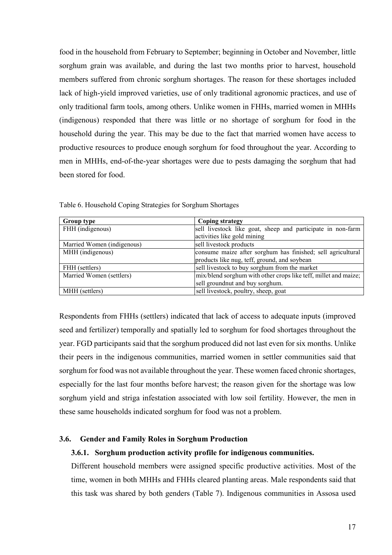food in the household from February to September; beginning in October and November, little sorghum grain was available, and during the last two months prior to harvest, household members suffered from chronic sorghum shortages. The reason for these shortages included lack of high-yield improved varieties, use of only traditional agronomic practices, and use of only traditional farm tools, among others. Unlike women in FHHs, married women in MHHs (indigenous) responded that there was little or no shortage of sorghum for food in the household during the year. This may be due to the fact that married women have access to productive resources to produce enough sorghum for food throughout the year. According to men in MHHs, end-of-the-year shortages were due to pests damaging the sorghum that had been stored for food.

| <b>Group type</b>          | <b>Coping strategy</b>                                          |
|----------------------------|-----------------------------------------------------------------|
| FHH (indigenous)           | sell livestock like goat, sheep and participate in non-farm     |
|                            | activities like gold mining                                     |
| Married Women (indigenous) | sell livestock products                                         |
| MHH (indigenous)           | consume maize after sorghum has finished; sell agricultural     |
|                            | products like nug, teff, ground, and soybean                    |
| FHH (settlers)             | sell livestock to buy sorghum from the market                   |
| Married Women (settlers)   | mix/blend sorghum with other crops like teff, millet and maize; |
|                            | sell groundnut and buy sorghum.                                 |
| MHH (settlers)             | sell livestock, poultry, sheep, goat                            |

<span id="page-17-1"></span>Table 6. Household Coping Strategies for Sorghum Shortages

Respondents from FHHs (settlers) indicated that lack of access to adequate inputs (improved seed and fertilizer) temporally and spatially led to sorghum for food shortages throughout the year. FGD participants said that the sorghum produced did not last even for six months. Unlike their peers in the indigenous communities, married women in settler communities said that sorghum for food was not available throughout the year. These women faced chronic shortages, especially for the last four months before harvest; the reason given for the shortage was low sorghum yield and striga infestation associated with low soil fertility. However, the men in these same households indicated sorghum for food was not a problem.

#### <span id="page-17-0"></span>**3.6. Gender and Family Roles in Sorghum Production**

#### **3.6.1. Sorghum production activity profile for indigenous communities.**

Different household members were assigned specific productive activities. Most of the time, women in both MHHs and FHHs cleared planting areas. Male respondents said that this task was shared by both genders (Table 7). Indigenous communities in Assosa used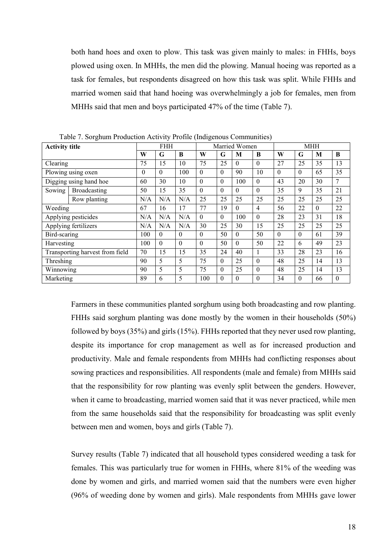both hand hoes and oxen to plow. This task was given mainly to males: in FHHs, boys plowed using oxen. In MHHs, the men did the plowing. Manual hoeing was reported as a task for females, but respondents disagreed on how this task was split. While FHHs and married women said that hand hoeing was overwhelmingly a job for females, men from MHHs said that men and boys participated 47% of the time (Table 7).

| <b>Activity title</b> | Table 7. Borgham I Toughthom Tech Try Trome (margemens Communities) |                  | <b>FHH</b> |          |              |          | Married Women |                  | <b>MHH</b> |              |          |              |
|-----------------------|---------------------------------------------------------------------|------------------|------------|----------|--------------|----------|---------------|------------------|------------|--------------|----------|--------------|
|                       |                                                                     | W                | G          | B        | W            | G        | М             | B                | W          | G            | M        | B            |
| Clearing              |                                                                     | 75               | 15         | 10       | 75           | 25       | $\Omega$      | $\theta$         | 27         | 35<br>25     |          | 13           |
|                       | Plowing using oxen                                                  | $\boldsymbol{0}$ | $\theta$   | 100      | $\theta$     | $\Omega$ | 90            | 10               | $\Omega$   | $\theta$     | 65       | 35           |
|                       | Digging using hand hoe                                              | 60               | 30         | 10       | $\theta$     | $\theta$ | 100           | $\mathbf{0}$     | 43         | 20           | 30       | 7            |
| Sowing                | Broadcasting                                                        | 50               | 15         | 35       | $\mathbf{0}$ | $\Omega$ | $\Omega$      | $\theta$         | 35         | 9            | 35       | 21           |
|                       | Row planting                                                        | N/A              | N/A        | N/A      | 25           | 25       | 25            | 25               | 25         | 25           | 25       | 25           |
| Weeding               |                                                                     | 67               | 16         | 17       | 77           | 19       | $\theta$      | $\overline{4}$   | 56         | 22           | $\theta$ | 22           |
|                       | Applying pesticides                                                 | N/A              | N/A        | N/A      | $\theta$     | $\Omega$ | 100           | $\theta$         | 28         | 23           | 31       | 18           |
|                       | Applying fertilizers                                                | N/A              | N/A        | N/A      | 30           | 25       | 30            | 15               | 25         | 25           | 25       | 25           |
| Bird-scaring          |                                                                     | 100              | $\theta$   | $\Omega$ | $\theta$     | 50       | $\theta$      | 50               | $\Omega$   | $\theta$     | 61       | 39           |
| Harvesting            |                                                                     | 100              | $\theta$   | $\Omega$ | $\theta$     | 50       | $\theta$      | 50               | 22         | 6            | 49       | 23           |
|                       | Transporting harvest from field                                     | 70               | 15         | 15       | 35           | 24       | 40            | 1                | 33         | 28           | 23       | 16           |
| Threshing             |                                                                     | 90               | 5          | 5        | 75           | $\Omega$ | 25            | $\theta$         | 48         | 25           | 14       | 13           |
| Winnowing             |                                                                     | 90               | 5          | 5        | 75           | $\Omega$ | 25            | $\theta$         | 48         | 25           | 14       | 13           |
| Marketing             |                                                                     | 89               | 6          | 5        | 100          | $\theta$ | $\theta$      | $\boldsymbol{0}$ | 34         | $\mathbf{0}$ | 66       | $\mathbf{0}$ |

<span id="page-18-0"></span>Table 7. Sorghum Production Activity Profile (Indigenous Communities)

Farmers in these communities planted sorghum using both broadcasting and row planting. FHHs said sorghum planting was done mostly by the women in their households (50%) followed by boys (35%) and girls (15%). FHHs reported that they never used row planting, despite its importance for crop management as well as for increased production and productivity. Male and female respondents from MHHs had conflicting responses about sowing practices and responsibilities. All respondents (male and female) from MHHs said that the responsibility for row planting was evenly split between the genders. However, when it came to broadcasting, married women said that it was never practiced, while men from the same households said that the responsibility for broadcasting was split evenly between men and women, boys and girls (Table 7).

Survey results (Table 7) indicated that all household types considered weeding a task for females. This was particularly true for women in FHHs, where 81% of the weeding was done by women and girls, and married women said that the numbers were even higher (96% of weeding done by women and girls). Male respondents from MHHs gave lower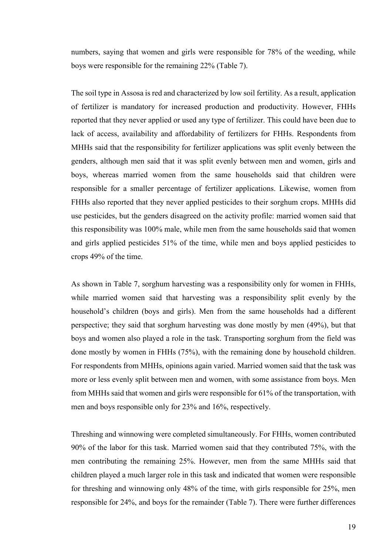numbers, saying that women and girls were responsible for 78% of the weeding, while boys were responsible for the remaining 22% (Table 7).

The soil type in Assosa is red and characterized by low soil fertility. As a result, application of fertilizer is mandatory for increased production and productivity. However, FHHs reported that they never applied or used any type of fertilizer. This could have been due to lack of access, availability and affordability of fertilizers for FHHs. Respondents from MHHs said that the responsibility for fertilizer applications was split evenly between the genders, although men said that it was split evenly between men and women, girls and boys, whereas married women from the same households said that children were responsible for a smaller percentage of fertilizer applications. Likewise, women from FHHs also reported that they never applied pesticides to their sorghum crops. MHHs did use pesticides, but the genders disagreed on the activity profile: married women said that this responsibility was 100% male, while men from the same households said that women and girls applied pesticides 51% of the time, while men and boys applied pesticides to crops 49% of the time.

As shown in Table 7, sorghum harvesting was a responsibility only for women in FHHs, while married women said that harvesting was a responsibility split evenly by the household's children (boys and girls). Men from the same households had a different perspective; they said that sorghum harvesting was done mostly by men (49%), but that boys and women also played a role in the task. Transporting sorghum from the field was done mostly by women in FHHs (75%), with the remaining done by household children. For respondents from MHHs, opinions again varied. Married women said that the task was more or less evenly split between men and women, with some assistance from boys. Men from MHHs said that women and girls were responsible for 61% of the transportation, with men and boys responsible only for 23% and 16%, respectively.

Threshing and winnowing were completed simultaneously. For FHHs, women contributed 90% of the labor for this task. Married women said that they contributed 75%, with the men contributing the remaining 25%. However, men from the same MHHs said that children played a much larger role in this task and indicated that women were responsible for threshing and winnowing only 48% of the time, with girls responsible for 25%, men responsible for 24%, and boys for the remainder (Table 7). There were further differences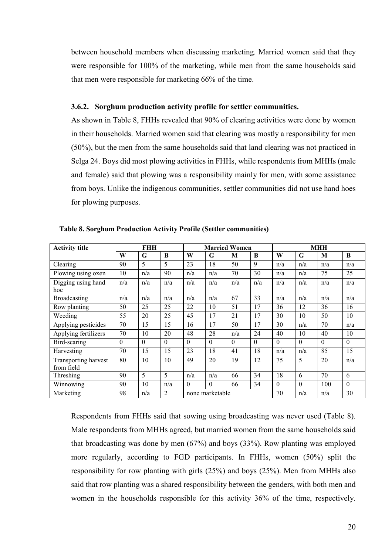between household members when discussing marketing. Married women said that they were responsible for 100% of the marketing, while men from the same households said that men were responsible for marketing 66% of the time.

#### **3.6.2. Sorghum production activity profile for settler communities.**

As shown in Table 8, FHHs revealed that 90% of clearing activities were done by women in their households. Married women said that clearing was mostly a responsibility for men (50%), but the men from the same households said that land clearing was not practiced in Selga 24. Boys did most plowing activities in FHHs, while respondents from MHHs (male and female) said that plowing was a responsibility mainly for men, with some assistance from boys. Unlike the indigenous communities, settler communities did not use hand hoes for plowing purposes.

| <b>Activity title</b>              |          | FHH      |                |          | <b>Married Women</b> |          |          | <b>MHH</b> |          |          |          |
|------------------------------------|----------|----------|----------------|----------|----------------------|----------|----------|------------|----------|----------|----------|
|                                    | W        | G        | B              | W        | G                    | M        | B        | W          | G        | M        | B        |
| Clearing                           | 90       | 5        | 5              | 23       | 18                   | 50       | 9        | n/a        | n/a      | n/a      | n/a      |
| Plowing using oxen                 | 10       | n/a      | 90             | n/a      | n/a                  | 70       | 30       | n/a        | n/a      | 75       | 25       |
| Digging using hand<br>hoe          | n/a      | n/a      | n/a            | n/a      | n/a                  | n/a      | n/a      | n/a        | n/a      | n/a      | n/a      |
| Broadcasting                       | n/a      | n/a      | n/a            | n/a      | n/a                  | 67       | 33       | n/a        | n/a      | n/a      | n/a      |
| Row planting                       | 50       | 25       | 25             | 22       | 10                   | 51       | 17       | 36         | 12       | 36       | 16       |
| Weeding                            | 55       | 20       | 25             | 45       | 17                   | 21       | 17       | 30         | 10       | 50       | 10       |
| Applying pesticides                | 70       | 15       | 15             | 16       | 17                   | 50       | 17       | 30         | n/a      | 70       | n/a      |
| Applying fertilizers               | 70       | 10       | 20             | 48       | 28                   | n/a      | 24       | 40         | 10       | 40       | 10       |
| Bird-scaring                       | $\theta$ | $\theta$ | $\theta$       | $\Omega$ | $\theta$             | $\Omega$ | $\Omega$ | $\theta$   | $\Omega$ | $\Omega$ | $\theta$ |
| Harvesting                         | 70       | 15       | 15             | 23       | 18                   | 41       | 18       | n/a        | n/a      | 85       | 15       |
| Transporting harvest<br>from field | 80       | 10       | 10             | 49       | 20                   | 19       | 12       | 75         | 5        | 20       | n/a      |
| Threshing                          | 90       | 5        | 5              | n/a      | n/a                  | 66       | 34       | 18         | 6        | 70       | 6        |
| Winnowing                          | 90       | 10       | n/a            | $\Omega$ | $\Omega$             | 66       | 34       | $\theta$   | $\Omega$ | 100      | $\theta$ |
| Marketing                          | 98       | n/a      | $\overline{2}$ |          | none marketable      |          |          | 70         | n/a      | n/a      | 30       |

<span id="page-20-0"></span>**Table 8. Sorghum Production Activity Profile (Settler communities)**

Respondents from FHHs said that sowing using broadcasting was never used (Table 8). Male respondents from MHHs agreed, but married women from the same households said that broadcasting was done by men (67%) and boys (33%). Row planting was employed more regularly, according to FGD participants. In FHHs, women (50%) split the responsibility for row planting with girls (25%) and boys (25%). Men from MHHs also said that row planting was a shared responsibility between the genders, with both men and women in the households responsible for this activity 36% of the time, respectively.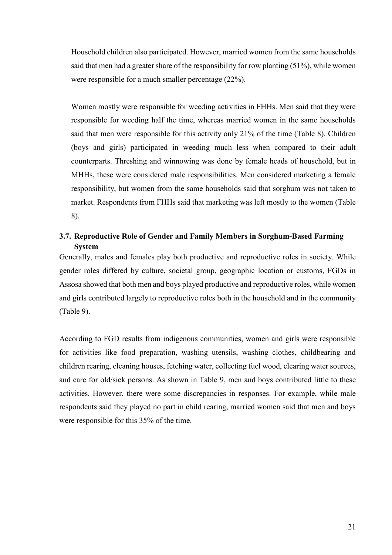Household children also participated. However, married women from the same households said that men had a greater share of the responsibility for row planting (51%), while women were responsible for a much smaller percentage (22%).

Women mostly were responsible for weeding activities in FHHs. Men said that they were responsible for weeding half the time, whereas married women in the same households said that men were responsible for this activity only 21% of the time (Table 8). Children (boys and girls) participated in weeding much less when compared to their adult counterparts. Threshing and winnowing was done by female heads of household, but in MHHs, these were considered male responsibilities. Men considered marketing a female responsibility, but women from the same households said that sorghum was not taken to market. Respondents from FHHs said that marketing was left mostly to the women (Table 8).

## <span id="page-21-0"></span>**3.7. Reproductive Role of Gender and Family Members in Sorghum-Based Farming System**

Generally, males and females play both productive and reproductive roles in society. While gender roles differed by culture, societal group, geographic location or customs, FGDs in Assosa showed that both men and boys played productive and reproductive roles, while women and girls contributed largely to reproductive roles both in the household and in the community (Table 9).

According to FGD results from indigenous communities, women and girls were responsible for activities like food preparation, washing utensils, washing clothes, childbearing and children rearing, cleaning houses, fetching water, collecting fuel wood, clearing water sources, and care for old/sick persons. As shown in Table 9, men and boys contributed little to these activities. However, there were some discrepancies in responses. For example, while male respondents said they played no part in child rearing, married women said that men and boys were responsible for this 35% of the time.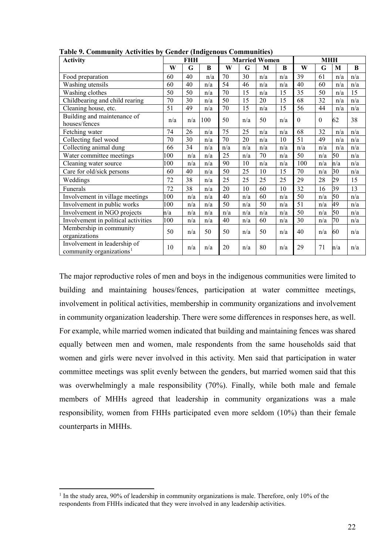| гаріс 7. Сонніцанісу тасыўнася бу<br><b>Activity</b>                 |     | <b>FHH</b> | ochuci (muigenous communities) |     |     | <b>Married Women</b> |     | <b>MHH</b> |          |     |     |  |
|----------------------------------------------------------------------|-----|------------|--------------------------------|-----|-----|----------------------|-----|------------|----------|-----|-----|--|
|                                                                      | W   | G          | B                              | W   | G   | M                    | B   | W          | G        | M   | B   |  |
| Food preparation                                                     | 60  | 40         | n/a                            | 70  | 30  | n/a                  | n/a | 39         | 61       | n/a | n/a |  |
| Washing utensils                                                     | 60  | 40         | n/a                            | 54  | 46  | n/a                  | n/a | 40         | 60       | n/a | n/a |  |
| Washing clothes                                                      | 50  | 50         | n/a                            | 70  | 15  | n/a                  | 15  | 35         | 50       | n/a | 15  |  |
| Childbearing and child rearing                                       | 70  | 30         | n/a                            | 50  | 15  | 20                   | 15  | 68         | 32       | n/a | n/a |  |
| Cleaning house, etc.                                                 | 51  | 49         | n/a                            | 70  | 15  | n/a                  | 15  | 56         | 44       | n/a | n/a |  |
| Building and maintenance of<br>houses/fences                         | n/a | n/a        | 100                            | 50  | n/a | 50                   | n/a | $\theta$   | $\theta$ | 62  | 38  |  |
| Fetching water                                                       | 74  | 26         | n/a                            | 75  | 25  | n/a                  | n/a | 68         | 32       | n/a | n/a |  |
| Collecting fuel wood                                                 | 70  | 30         | n/a                            | 70  | 20  | n/a                  | 10  | 51         | 49       | n/a | n/a |  |
| Collecting animal dung                                               | 66  | 34         | n/a                            | n/a | n/a | n/a                  | n/a | n/a        | n/a      | n/a | n/a |  |
| Water committee meetings                                             | 100 | n/a        | n/a                            | 25  | n/a | 70                   | n/a | 50         | n/a      | 50  | n/a |  |
| Cleaning water source                                                | 100 | n/a        | n/a                            | 90  | 10  | n/a                  | n/a | 100        | n/a      | n/a | n/a |  |
| Care for old/sick persons                                            | 60  | 40         | n/a                            | 50  | 25  | 10                   | 15  | 70         | n/a      | 30  | n/a |  |
| Weddings                                                             | 72  | 38         | n/a                            | 25  | 25  | 25                   | 25  | 29         | 28       | 29  | 15  |  |
| Funerals                                                             | 72  | 38         | n/a                            | 20  | 10  | 60                   | 10  | 32         | 16       | 39  | 13  |  |
| Involvement in village meetings                                      | 100 | n/a        | n/a                            | 40  | n/a | 60                   | n/a | 50         | n/a      | 50  | n/a |  |
| Involvement in public works                                          | 100 | n/a        | n/a                            | 50  | n/a | 50                   | n/a | 51         | n/a      | 49  | n/a |  |
| Involvement in NGO projects                                          | n/a | n/a        | n/a                            | n/a | n/a | n/a                  | n/a | 50         | n/a      | 50  | n/a |  |
| Involvement in political activities                                  | 100 | n/a        | n/a                            | 40  | n/a | 60                   | n/a | 30         | n/a      | 70  | n/a |  |
| Membership in community<br>organizations                             | 50  | n/a        | 50                             | 50  | n/a | 50                   | n/a | 40         | n/a      | 60  | n/a |  |
| Involvement in leadership of<br>community organizations <sup>1</sup> | 10  | n/a        | n/a                            | 20  | n/a | 80                   | n/a | 29         | 71       | n/a | n/a |  |

<span id="page-22-0"></span>**Table 9. Community Activities by Gender (Indigenous Communities)**

The major reproductive roles of men and boys in the indigenous communities were limited to building and maintaining houses/fences, participation at water committee meetings, involvement in political activities, membership in community organizations and involvement in community organization leadership. There were some differences in responses here, as well. For example, while married women indicated that building and maintaining fences was shared equally between men and women, male respondents from the same households said that women and girls were never involved in this activity. Men said that participation in water committee meetings was split evenly between the genders, but married women said that this was overwhelmingly a male responsibility (70%). Finally, while both male and female members of MHHs agreed that leadership in community organizations was a male responsibility, women from FHHs participated even more seldom (10%) than their female counterparts in MHHs.

 $\overline{\phantom{a}}$ 

<span id="page-22-1"></span> $1$  In the study area, 90% of leadership in community organizations is male. Therefore, only 10% of the respondents from FHHs indicated that they were involved in any leadership activities.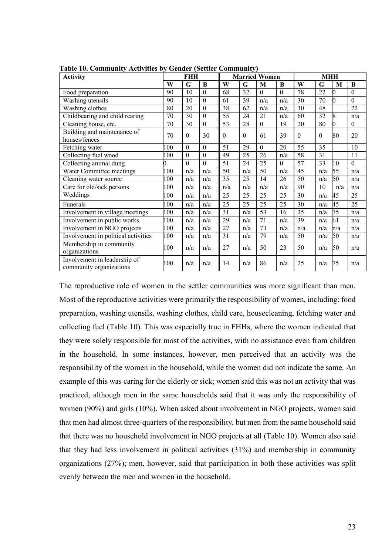| <b>Activity</b>                                         |     | <b>FHH</b>     |              |                  |                  | <b>Married Women</b> |              | <b>MHH</b>       |                  |     |                  |
|---------------------------------------------------------|-----|----------------|--------------|------------------|------------------|----------------------|--------------|------------------|------------------|-----|------------------|
|                                                         | W   | G              | $\bf{B}$     | W                | G                | M                    | B            | W                | G                | M   | $\bf{B}$         |
| Food preparation                                        | 90  | 10             | $\theta$     | 68               | 32               | $\Omega$             | $\mathbf{0}$ | 78               | 22               | 0   | $\theta$         |
| Washing utensils                                        | 90  | 10             | $\theta$     | 61               | 39               | n/a                  | n/a          | 30               | 70               | 0   | $\overline{0}$   |
| Washing clothes                                         | 80  | 20             | $\theta$     | 38               | 62               | n/a                  | n/a          | 30               | 48               |     | 22               |
| Childbearing and child rearing                          | 70  | 30             | $\mathbf{0}$ | 55               | 24               | 21                   | n/a          | 60               | 32               | 8   | n/a              |
| Cleaning house, etc.                                    | 70  | 30             | $\mathbf{0}$ | 53               | 28               | $\Omega$             | 19           | 20               | 80               | 0   | $\boldsymbol{0}$ |
| Building and maintenance of<br>houses/fences            | 70  | $\mathbf{0}$   | 30           | $\boldsymbol{0}$ | $\boldsymbol{0}$ | 61                   | 39           | $\boldsymbol{0}$ | $\boldsymbol{0}$ | 80  | 20               |
| Fetching water                                          | 100 | $\mathbf{0}$   | $\theta$     | 51               | 29               | $\mathbf{0}$         | 20           | 55               | 35               |     | 10               |
| Collecting fuel wood                                    | 100 | $\theta$       | $\theta$     | 49               | 25               | 26                   | n/a          | 58               | 31               |     | 11               |
| Collecting animal dung                                  | D   | $\overline{0}$ | $\mathbf{0}$ | 51               | 24               | 25                   | $\theta$     | 57               | 33               | 10  | $\overline{0}$   |
| Water Committee meetings                                | 100 | n/a            | n/a          | 50               | n/a              | 50                   | n/a          | 45               | n/a              | 55  | n/a              |
| Cleaning water source                                   | 100 | n/a            | n/a          | 35               | 25               | 14                   | 26           | 50               | n/a              | 50  | n/a              |
| Care for old/sick persons                               | 100 | n/a            | n/a          | n/a              | n/a              | n/a                  | n/a          | 90               | 10               | n/a | n/a              |
| Weddings                                                | 100 | n/a            | n/a          | 25               | 25               | 25                   | 25           | 30               | n/a              | 45  | 25               |
| Funerals                                                | 100 | n/a            | n/a          | 25               | 25               | 25                   | 25           | 30               | n/a              | 45  | 25               |
| Involvement in village meetings                         | 100 | n/a            | n/a          | 31               | n/a              | 53                   | 16           | 25               | n/a              | 75  | n/a              |
| Involvement in public works                             | 100 | n/a            | n/a          | 29               | n/a              | 71                   | n/a          | 39               | n/a              | 61  | n/a              |
| Involvement in NGO projects                             | 100 | n/a            | n/a          | 27               | n/a              | 73                   | n/a          | n/a              | n/a              | n/a | n/a              |
| Involvement in political activities                     | 100 | n/a            | n/a          | 31               | n/a              | 79                   | n/a          | 50               | n/a              | 50  | n/a              |
| Membership in community<br>organizations                | 100 | n/a            | n/a          | 27               | n/a              | 50                   | 23           | 50               | n/a              | 50  | n/a              |
| Involvement in leadership of<br>community organizations | 100 | n/a            | n/a          | 14               | n/a              | 86                   | n/a          | 25               | n/a              | 75  | n/a              |

<span id="page-23-0"></span>**Table 10. Community Activities by Gender (Settler Community)**

The reproductive role of women in the settler communities was more significant than men. Most of the reproductive activities were primarily the responsibility of women, including: food preparation, washing utensils, washing clothes, child care, housecleaning, fetching water and collecting fuel (Table 10). This was especially true in FHHs, where the women indicated that they were solely responsible for most of the activities, with no assistance even from children in the household. In some instances, however, men perceived that an activity was the responsibility of the women in the household, while the women did not indicate the same. An example of this was caring for the elderly or sick; women said this was not an activity that was practiced, although men in the same households said that it was only the responsibility of women (90%) and girls (10%). When asked about involvement in NGO projects, women said that men had almost three-quarters of the responsibility, but men from the same household said that there was no household involvement in NGO projects at all (Table 10). Women also said that they had less involvement in political activities (31%) and membership in community organizations (27%); men, however, said that participation in both these activities was split evenly between the men and women in the household.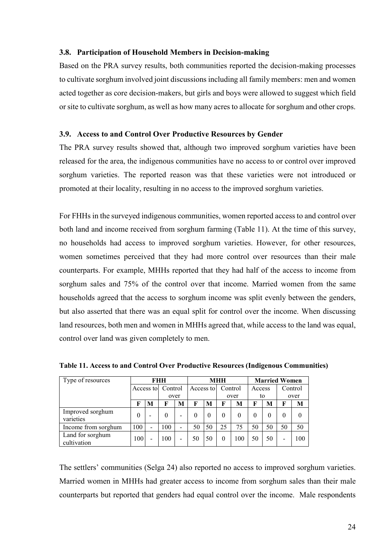#### <span id="page-24-0"></span>**3.8. Participation of Household Members in Decision-making**

Based on the PRA survey results, both communities reported the decision-making processes to cultivate sorghum involved joint discussions including all family members: men and women acted together as core decision-makers, but girls and boys were allowed to suggest which field or site to cultivate sorghum, as well as how many acres to allocate for sorghum and other crops.

## <span id="page-24-1"></span>**3.9. Access to and Control Over Productive Resources by Gender**

The PRA survey results showed that, although two improved sorghum varieties have been released for the area, the indigenous communities have no access to or control over improved sorghum varieties. The reported reason was that these varieties were not introduced or promoted at their locality, resulting in no access to the improved sorghum varieties.

For FHHs in the surveyed indigenous communities, women reported access to and control over both land and income received from sorghum farming (Table 11). At the time of this survey, no households had access to improved sorghum varieties. However, for other resources, women sometimes perceived that they had more control over resources than their male counterparts. For example, MHHs reported that they had half of the access to income from sorghum sales and 75% of the control over that income. Married women from the same households agreed that the access to sorghum income was split evenly between the genders, but also asserted that there was an equal split for control over the income. When discussing land resources, both men and women in MHHs agreed that, while access to the land was equal, control over land was given completely to men.

| Type of resources               | FHH       |                          |          |   | <b>MHH</b> |           |          |          | <b>Married Women</b> |    |         |          |
|---------------------------------|-----------|--------------------------|----------|---|------------|-----------|----------|----------|----------------------|----|---------|----------|
|                                 | Access to |                          | Control  |   |            | Access to |          | Control  | Access               |    | Control |          |
|                                 |           |                          | over     |   |            |           | over     |          | to                   |    | over    |          |
|                                 | F         | M                        | F        | M | F          | M         | F        | M        | F                    | M  | F       | М        |
| Improved sorghum<br>varieties   | $\theta$  |                          | $\theta$ | - |            | $\theta$  | $\Omega$ | $\theta$ | 0                    |    |         | $\Omega$ |
| Income from sorghum             | 100       | $\overline{\phantom{0}}$ | 100      | - | 50         | 50        | 25       | 75       | 50                   | 50 | 50      | 50       |
| Land for sorghum<br>cultivation | 100       | $\overline{\phantom{0}}$ | 100      | - | 50         | 50        | $\theta$ | 100      | 50                   | 50 | ۰       | 100      |

<span id="page-24-2"></span>**Table 11. Access to and Control Over Productive Resources (Indigenous Communities)**

The settlers' communities (Selga 24) also reported no access to improved sorghum varieties. Married women in MHHs had greater access to income from sorghum sales than their male counterparts but reported that genders had equal control over the income. Male respondents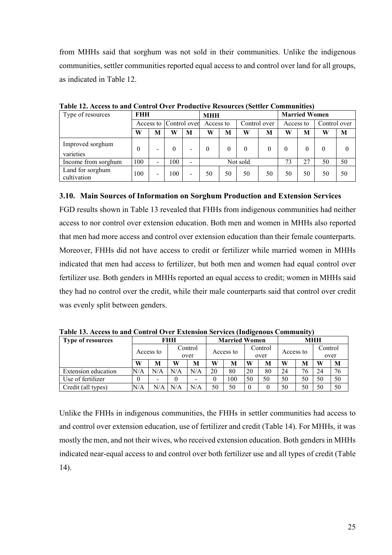from MHHs said that sorghum was not sold in their communities. Unlike the indigenous communities, settler communities reported equal access to and control over land for all groups, as indicated in Table 12.

| Type of resources               | <b>FHH</b> |   |     |                        | <b>MHH</b> |           |          |              | <b>Married Women</b> |           |    |              |  |
|---------------------------------|------------|---|-----|------------------------|------------|-----------|----------|--------------|----------------------|-----------|----|--------------|--|
|                                 |            |   |     | Access to Control over |            | Access to |          | Control over |                      | Access to |    | Control over |  |
|                                 | W          | M | W   | M                      | W          | M         | W        | M            | W                    | M         | W  | M            |  |
| Improved sorghum<br>varieties   | 0          |   | 0   | -                      | 0          |           | 0        |              |                      |           | 0  |              |  |
| Income from sorghum             | 100        | - | 100 |                        |            |           | Not sold |              | 73                   | 27        | 50 | 50           |  |
| Land for sorghum<br>cultivation | 100        | - | 100 | -                      | 50         | 50        | 50       | 50           | 50                   | 50        | 50 | 50           |  |

<span id="page-25-1"></span>**Table 12. Access to and Control Over Productive Resources (Settler Communities)**

#### <span id="page-25-0"></span>**3.10. Main Sources of Information on Sorghum Production and Extension Services**

FGD results shown in Table 13 revealed that FHHs from indigenous communities had neither access to nor control over extension education. Both men and women in MHHs also reported that men had more access and control over extension education than their female counterparts. Moreover, FHHs did not have access to credit or fertilizer while married women in MHHs indicated that men had access to fertilizer, but both men and women had equal control over fertilizer use. Both genders in MHHs reported an equal access to credit; women in MHHs said they had no control over the credit, while their male counterparts said that control over credit was evenly split between genders.

| <b>Type of resources</b> | FHH |           |     |         |    | <b>Married Women</b> |         |      | <b>MHH</b> |    |         |    |
|--------------------------|-----|-----------|-----|---------|----|----------------------|---------|------|------------|----|---------|----|
|                          |     | Access to |     | Control |    |                      | Control |      | Access to  |    | Control |    |
|                          |     |           |     | over    |    | Access to            |         | over |            |    | over    |    |
|                          | W   | M         | W   | M       | W  | M                    | W       | M    | W          | M  | W       | M  |
| Extension education      | N/A | N/A       | N/A | N/A     | 20 | 80                   | 20      | 80   | 24         | 76 | 24      | 76 |
| Use of fertilizer        |     | -         |     | -       |    | 100                  | 50      | 50   | 50         | 50 | 50      | 50 |
| Credit (all types)       | N/A | N/A       | N/A | N/A     | 50 | 50                   |         |      | 50         | 50 | 50      | 50 |

<span id="page-25-2"></span>**Table 13. Access to and Control Over Extension Services (Indigenous Community)**

Unlike the FHHs in indigenous communities, the FHHs in settler communities had access to and control over extension education, use of fertilizer and credit (Table 14). For MHHs, it was mostly the men, and not their wives, who received extension education. Both genders in MHHs indicated near-equal access to and control over both fertilizer use and all types of credit (Table 14).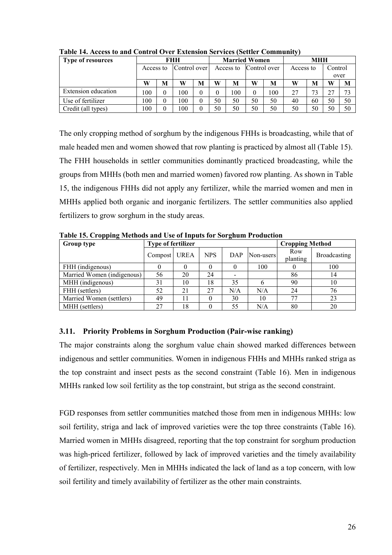| <b>Type of resources</b> | FHH       |          |              |   |           | <b>Married Women</b> |              |     | <b>MHH</b> |    |         |    |
|--------------------------|-----------|----------|--------------|---|-----------|----------------------|--------------|-----|------------|----|---------|----|
|                          | Access to |          | Control over |   | Access to |                      | Control over |     | Access to  |    | Control |    |
|                          |           |          |              |   |           |                      |              |     |            |    | over    |    |
|                          | W         | M        | W            | M | W         | M                    | W            | M   | W          | M  | W       | M  |
| Extension education      | 100       | $\theta$ | 00           | 0 |           | 100                  |              | 100 | 27         | 73 | 27      | 73 |
| Use of fertilizer        | 100       | $\theta$ | 100          | 0 | 50        | 50                   | 50           | 50  | 40         | 60 | 50      | 50 |
| Credit (all types)       | 100       | $\theta$ | 00           |   | 50        | 50                   | 50           | 50  | 50         | 50 | 50      | 50 |

<span id="page-26-1"></span>**Table 14. Access to and Control Over Extension Services (Settler Community)**

The only cropping method of sorghum by the indigenous FHHs is broadcasting, while that of male headed men and women showed that row planting is practiced by almost all (Table 15). The FHH households in settler communities dominantly practiced broadcasting, while the groups from MHHs (both men and married women) favored row planting. As shown in Table 15, the indigenous FHHs did not apply any fertilizer, while the married women and men in MHHs applied both organic and inorganic fertilizers. The settler communities also applied fertilizers to grow sorghum in the study areas.

| Group type                 | <b>Type of fertilizer</b> |      |            |     |           | <b>Cropping Method</b> |              |
|----------------------------|---------------------------|------|------------|-----|-----------|------------------------|--------------|
|                            | Compost                   | UREA | <b>NPS</b> | DAP | Non-users | Row<br>planting        | Broadcasting |
| FHH (indigenous)           |                           |      |            |     | 100       |                        | 100          |
| Married Women (indigenous) | 56                        | 20   | 24         |     |           | 86                     | 14           |
| MHH (indigenous)           | 31                        | 10   | 18         | 35  |           | 90                     | 10           |
| FHH (settlers)             | 52                        | 21   | 27         | N/A | N/A       | 24                     | 76           |
| Married Women (settlers)   | 49                        | 11   |            | 30  | 10        |                        | 23           |
| MHH (settlers)             | 27                        | 18   | 0          | 55  | N/A       | 80                     | 20           |

<span id="page-26-2"></span>**Table 15. Cropping Methods and Use of Inputs for Sorghum Production** 

# <span id="page-26-0"></span>**3.11. Priority Problems in Sorghum Production (Pair-wise ranking)**

The major constraints along the sorghum value chain showed marked differences between indigenous and settler communities. Women in indigenous FHHs and MHHs ranked striga as the top constraint and insect pests as the second constraint (Table 16). Men in indigenous MHHs ranked low soil fertility as the top constraint, but striga as the second constraint.

FGD responses from settler communities matched those from men in indigenous MHHs: low soil fertility, striga and lack of improved varieties were the top three constraints (Table 16). Married women in MHHs disagreed, reporting that the top constraint for sorghum production was high-priced fertilizer, followed by lack of improved varieties and the timely availability of fertilizer, respectively. Men in MHHs indicated the lack of land as a top concern, with low soil fertility and timely availability of fertilizer as the other main constraints.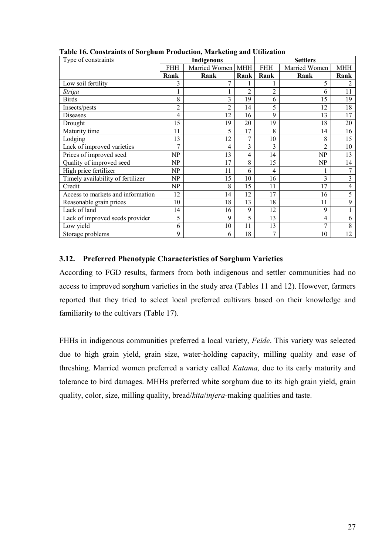| Type of constraints               |            | Indigenous        |                |                | <b>Settlers</b> |                |
|-----------------------------------|------------|-------------------|----------------|----------------|-----------------|----------------|
|                                   | <b>FHH</b> | Married Women MHH |                | <b>FHH</b>     | Married Women   | <b>MHH</b>     |
|                                   | Rank       | Rank              | Rank           | Rank           | Rank            | Rank           |
| Low soil fertility                | 3          | 7                 |                |                | 5               | $\overline{c}$ |
| <b>Striga</b>                     |            |                   | $\overline{2}$ | $\overline{c}$ | 6               | 11             |
| <b>Birds</b>                      | 8          | 3                 | 19             | 6              | 15              | 19             |
| Insects/pests                     | 2          | $\overline{c}$    | 14             | 5              | 12              | 18             |
| Diseases                          | 4          | 12                | 16             | 9              | 13              | 17             |
| Drought                           | 15         | 19                | 20             | 19             | 18              | 20             |
| Maturity time                     | 11         | 5                 | 17             | 8              | 14              | 16             |
| Lodging                           | 13         | 12                | 7              | 10             | 8               | 15             |
| Lack of improved varieties        | 7          | 4                 | 3              | 3              | $\mathfrak{D}$  | 10             |
| Prices of improved seed           | NP         | 13                | 4              | 14             | NP              | 13             |
| Quality of improved seed          | NP         | 17                | 8              | 15             | NP              | 14             |
| High price fertilizer             | NP         | 11                | 6              | 4              |                 | 7              |
| Timely availability of fertilizer | NP         | 15                | 10             | 16             | 3               | 3              |
| Credit                            | NP         | 8                 | 15             | 11             | 17              | 4              |
| Access to markets and information | 12         | 14                | 12             | 17             | 16              | 5              |
| Reasonable grain prices           | 10         | 18                | 13             | 18             | 11              | 9              |
| Lack of land                      | 14         | 16                | 9              | 12             | 9               |                |
| Lack of improved seeds provider   | 5          | 9                 | 5              | 13             | 4               | 6              |
| Low yield                         | 6          | 10                | 11             | 13             | 7               | 8              |
| Storage problems                  | 9          | 6                 | 18             | 7              | 10              | 12             |

<span id="page-27-1"></span>**Table 16. Constraints of Sorghum Production, Marketing and Utilization**

## <span id="page-27-0"></span>**3.12. Preferred Phenotypic Characteristics of Sorghum Varieties**

According to FGD results, farmers from both indigenous and settler communities had no access to improved sorghum varieties in the study area (Tables 11 and 12). However, farmers reported that they tried to select local preferred cultivars based on their knowledge and familiarity to the cultivars (Table 17).

FHHs in indigenous communities preferred a local variety, *Feide*. This variety was selected due to high grain yield, grain size, water-holding capacity, milling quality and ease of threshing. Married women preferred a variety called *Katama,* due to its early maturity and tolerance to bird damages. MHHs preferred white sorghum due to its high grain yield, grain quality, color, size, milling quality, bread/*kita*/*injera*-making qualities and taste.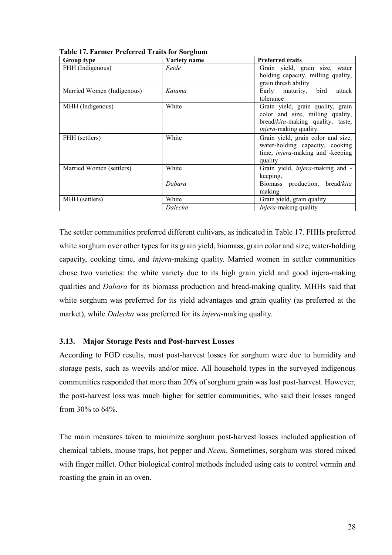| Group type                 | Variety name | <b>Preferred traits</b>                                                                                                                      |
|----------------------------|--------------|----------------------------------------------------------------------------------------------------------------------------------------------|
| FHH (Indigenous)           | Feide        | Grain yield, grain size, water<br>holding capacity, milling quality,<br>grain thresh ability                                                 |
| Married Women (Indigenous) | Katama       | Early maturity, bird<br>attack<br>tolerance                                                                                                  |
| MHH (Indigenous)           | White        | Grain yield, grain quality, grain<br>color and size, milling quality,<br>bread/kita-making quality, taste,<br><i>injera</i> -making quality. |
| FHH (settlers)             | White        | Grain yield, grain color and size,<br>water-holding capacity, cooking<br>time, injera-making and -keeping<br>quality                         |
| Married Women (settlers)   | White        | Grain yield, <i>injera</i> -making and -<br>keeping,                                                                                         |
|                            | Dabara       | Biomass production, bread/kita<br>making                                                                                                     |
| MHH (settlers)             | White        | Grain yield, grain quality                                                                                                                   |
|                            | Dalecha      | <i>Injera-making quality</i>                                                                                                                 |

<span id="page-28-1"></span>**Table 17. Farmer Preferred Traits for Sorghum**

The settler communities preferred different cultivars, as indicated in Table 17. FHHs preferred white sorghum over other types for its grain yield, biomass, grain color and size, water-holding capacity, cooking time, and *injera*-making quality. Married women in settler communities chose two varieties: the white variety due to its high grain yield and good injera-making qualities and *Dabara* for its biomass production and bread-making quality. MHHs said that white sorghum was preferred for its yield advantages and grain quality (as preferred at the market), while *Dalecha* was preferred for its *injera*-making quality.

## <span id="page-28-0"></span>**3.13. Major Storage Pests and Post-harvest Losses**

According to FGD results, most post-harvest losses for sorghum were due to humidity and storage pests, such as weevils and/or mice. All household types in the surveyed indigenous communities responded that more than 20% of sorghum grain was lost post-harvest. However, the post-harvest loss was much higher for settler communities, who said their losses ranged from 30% to 64%.

The main measures taken to minimize sorghum post-harvest losses included application of chemical tablets, mouse traps, hot pepper and *Neem*. Sometimes, sorghum was stored mixed with finger millet. Other biological control methods included using cats to control vermin and roasting the grain in an oven.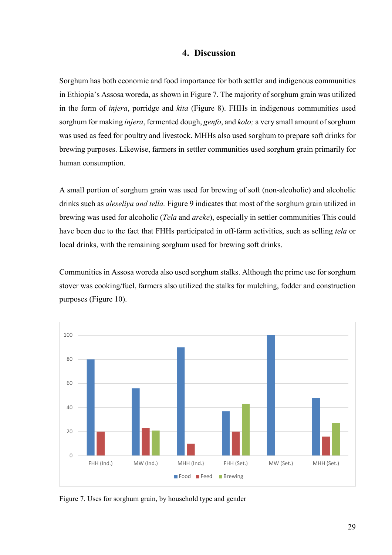## **4. Discussion**

<span id="page-29-0"></span>Sorghum has both economic and food importance for both settler and indigenous communities in Ethiopia's Assosa woreda, as shown in Figure 7. The majority of sorghum grain was utilized in the form of *injera*, porridge and *kita* (Figure 8). FHHs in indigenous communities used sorghum for making *injera*, fermented dough, *genfo*, and *kolo;* a very small amount of sorghum was used as feed for poultry and livestock. MHHs also used sorghum to prepare soft drinks for brewing purposes. Likewise, farmers in settler communities used sorghum grain primarily for human consumption.

A small portion of sorghum grain was used for brewing of soft (non-alcoholic) and alcoholic drinks such as *aleseliya and tella.* Figure 9 indicates that most of the sorghum grain utilized in brewing was used for alcoholic (*Tela* and *areke*), especially in settler communities This could have been due to the fact that FHHs participated in off-farm activities, such as selling *tela* or local drinks, with the remaining sorghum used for brewing soft drinks.

Communities in Assosa woreda also used sorghum stalks. Although the prime use for sorghum stover was cooking/fuel, farmers also utilized the stalks for mulching, fodder and construction purposes (Figure 10).



<span id="page-29-1"></span>Figure 7. Uses for sorghum grain, by household type and gender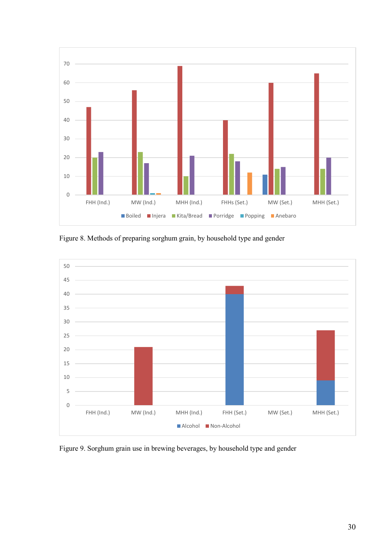

<span id="page-30-0"></span>Figure 8. Methods of preparing sorghum grain, by household type and gender



<span id="page-30-1"></span>Figure 9. Sorghum grain use in brewing beverages, by household type and gender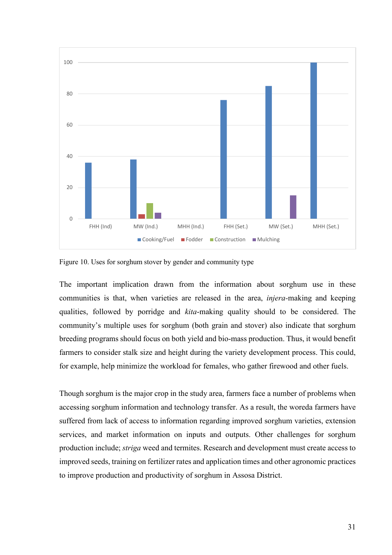

<span id="page-31-0"></span>Figure 10. Uses for sorghum stover by gender and community type

The important implication drawn from the information about sorghum use in these communities is that, when varieties are released in the area, *injera-*making and keeping qualities, followed by porridge and *kita*-making quality should to be considered. The community's multiple uses for sorghum (both grain and stover) also indicate that sorghum breeding programs should focus on both yield and bio-mass production. Thus, it would benefit farmers to consider stalk size and height during the variety development process. This could, for example, help minimize the workload for females, who gather firewood and other fuels.

Though sorghum is the major crop in the study area, farmers face a number of problems when accessing sorghum information and technology transfer. As a result, the woreda farmers have suffered from lack of access to information regarding improved sorghum varieties, extension services, and market information on inputs and outputs. Other challenges for sorghum production include; *striga* weed and termites. Research and development must create access to improved seeds, training on fertilizer rates and application times and other agronomic practices to improve production and productivity of sorghum in Assosa District.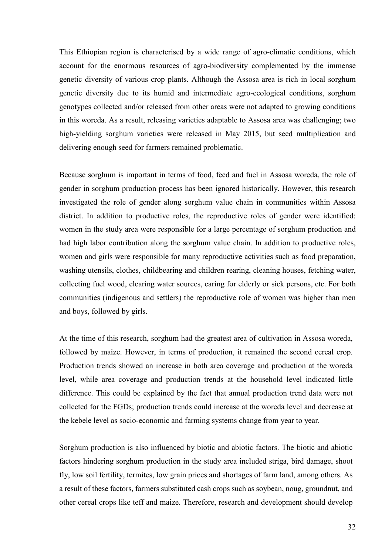This Ethiopian region is characterised by a wide range of agro-climatic conditions, which account for the enormous resources of agro-biodiversity complemented by the immense genetic diversity of various crop plants. Although the Assosa area is rich in local sorghum genetic diversity due to its humid and intermediate agro-ecological conditions, sorghum genotypes collected and/or released from other areas were not adapted to growing conditions in this woreda. As a result, releasing varieties adaptable to Assosa area was challenging; two high-yielding sorghum varieties were released in May 2015, but seed multiplication and delivering enough seed for farmers remained problematic.

Because sorghum is important in terms of food, feed and fuel in Assosa woreda, the role of gender in sorghum production process has been ignored historically. However, this research investigated the role of gender along sorghum value chain in communities within Assosa district. In addition to productive roles, the reproductive roles of gender were identified: women in the study area were responsible for a large percentage of sorghum production and had high labor contribution along the sorghum value chain. In addition to productive roles, women and girls were responsible for many reproductive activities such as food preparation, washing utensils, clothes, childbearing and children rearing, cleaning houses, fetching water, collecting fuel wood, clearing water sources, caring for elderly or sick persons, etc. For both communities (indigenous and settlers) the reproductive role of women was higher than men and boys, followed by girls.

At the time of this research, sorghum had the greatest area of cultivation in Assosa woreda, followed by maize. However, in terms of production, it remained the second cereal crop. Production trends showed an increase in both area coverage and production at the woreda level, while area coverage and production trends at the household level indicated little difference. This could be explained by the fact that annual production trend data were not collected for the FGDs; production trends could increase at the woreda level and decrease at the kebele level as socio-economic and farming systems change from year to year.

Sorghum production is also influenced by biotic and abiotic factors. The biotic and abiotic factors hindering sorghum production in the study area included striga, bird damage, shoot fly, low soil fertility, termites, low grain prices and shortages of farm land, among others. As a result of these factors, farmers substituted cash crops such as soybean, noug, groundnut, and other cereal crops like teff and maize. Therefore, research and development should develop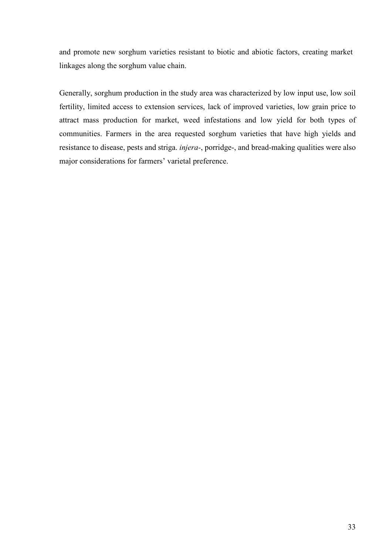and promote new sorghum varieties resistant to biotic and abiotic factors, creating market linkages along the sorghum value chain.

Generally, sorghum production in the study area was characterized by low input use, low soil fertility, limited access to extension services, lack of improved varieties, low grain price to attract mass production for market, weed infestations and low yield for both types of communities. Farmers in the area requested sorghum varieties that have high yields and resistance to disease, pests and striga. *injera-*, porridge-, and bread-making qualities were also major considerations for farmers' varietal preference.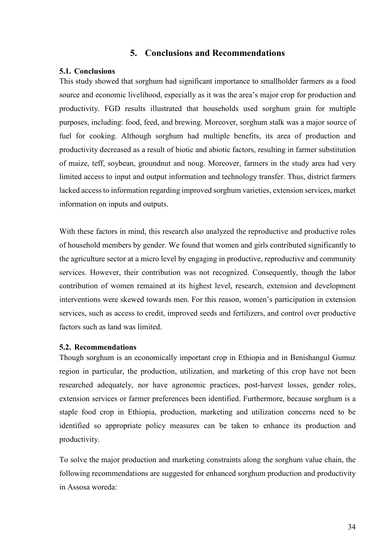# **5. Conclusions and Recommendations**

## <span id="page-34-1"></span><span id="page-34-0"></span>**5.1. Conclusions**

This study showed that sorghum had significant importance to smallholder farmers as a food source and economic livelihood, especially as it was the area's major crop for production and productivity. FGD results illustrated that households used sorghum grain for multiple purposes, including: food, feed, and brewing. Moreover, sorghum stalk was a major source of fuel for cooking. Although sorghum had multiple benefits, its area of production and productivity decreased as a result of biotic and abiotic factors, resulting in farmer substitution of maize, teff, soybean, groundnut and noug. Moreover, farmers in the study area had very limited access to input and output information and technology transfer. Thus, district farmers lacked access to information regarding improved sorghum varieties, extension services, market information on inputs and outputs.

With these factors in mind, this research also analyzed the reproductive and productive roles of household members by gender. We found that women and girls contributed significantly to the agriculture sector at a micro level by engaging in productive, reproductive and community services. However, their contribution was not recognized. Consequently, though the labor contribution of women remained at its highest level, research, extension and development interventions were skewed towards men. For this reason, women's participation in extension services, such as access to credit, improved seeds and fertilizers, and control over productive factors such as land was limited.

### <span id="page-34-2"></span>**5.2. Recommendations**

Though sorghum is an economically important crop in Ethiopia and in Benishangul Gumuz region in particular, the production, utilization, and marketing of this crop have not been researched adequately, nor have agronomic practices, post-harvest losses, gender roles, extension services or farmer preferences been identified. Furthermore, because sorghum is a staple food crop in Ethiopia, production, marketing and utilization concerns need to be identified so appropriate policy measures can be taken to enhance its production and productivity.

To solve the major production and marketing constraints along the sorghum value chain, the following recommendations are suggested for enhanced sorghum production and productivity in Assosa woreda: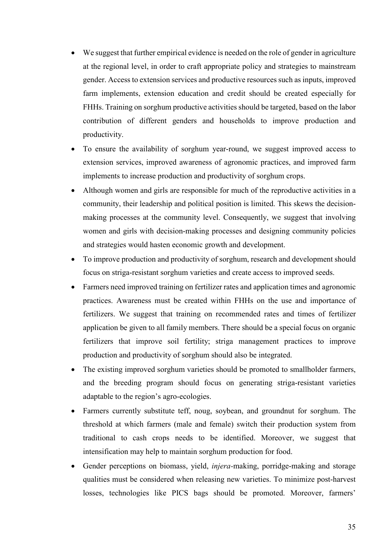- We suggest that further empirical evidence is needed on the role of gender in agriculture at the regional level, in order to craft appropriate policy and strategies to mainstream gender. Access to extension services and productive resources such as inputs, improved farm implements, extension education and credit should be created especially for FHHs. Training on sorghum productive activities should be targeted, based on the labor contribution of different genders and households to improve production and productivity.
- To ensure the availability of sorghum year-round, we suggest improved access to extension services, improved awareness of agronomic practices, and improved farm implements to increase production and productivity of sorghum crops.
- Although women and girls are responsible for much of the reproductive activities in a community, their leadership and political position is limited. This skews the decisionmaking processes at the community level. Consequently, we suggest that involving women and girls with decision-making processes and designing community policies and strategies would hasten economic growth and development.
- To improve production and productivity of sorghum, research and development should focus on striga-resistant sorghum varieties and create access to improved seeds.
- Farmers need improved training on fertilizer rates and application times and agronomic practices. Awareness must be created within FHHs on the use and importance of fertilizers. We suggest that training on recommended rates and times of fertilizer application be given to all family members. There should be a special focus on organic fertilizers that improve soil fertility; striga management practices to improve production and productivity of sorghum should also be integrated.
- The existing improved sorghum varieties should be promoted to smallholder farmers, and the breeding program should focus on generating striga-resistant varieties adaptable to the region's agro-ecologies.
- Farmers currently substitute teff, noug, soybean, and groundnut for sorghum. The threshold at which farmers (male and female) switch their production system from traditional to cash crops needs to be identified. Moreover, we suggest that intensification may help to maintain sorghum production for food.
- Gender perceptions on biomass, yield, *injera-*making, porridge-making and storage qualities must be considered when releasing new varieties. To minimize post-harvest losses, technologies like PICS bags should be promoted. Moreover, farmers'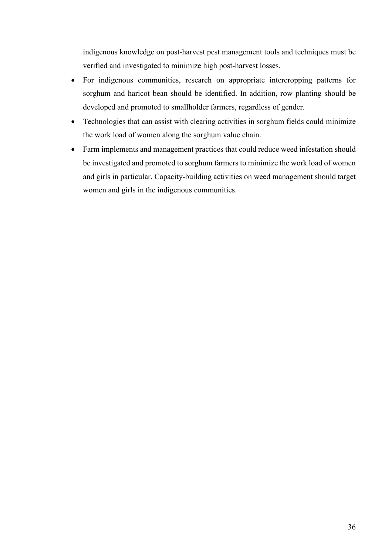indigenous knowledge on post-harvest pest management tools and techniques must be verified and investigated to minimize high post-harvest losses.

- For indigenous communities, research on appropriate intercropping patterns for sorghum and haricot bean should be identified. In addition, row planting should be developed and promoted to smallholder farmers, regardless of gender.
- Technologies that can assist with clearing activities in sorghum fields could minimize the work load of women along the sorghum value chain.
- Farm implements and management practices that could reduce weed infestation should be investigated and promoted to sorghum farmers to minimize the work load of women and girls in particular. Capacity-building activities on weed management should target women and girls in the indigenous communities.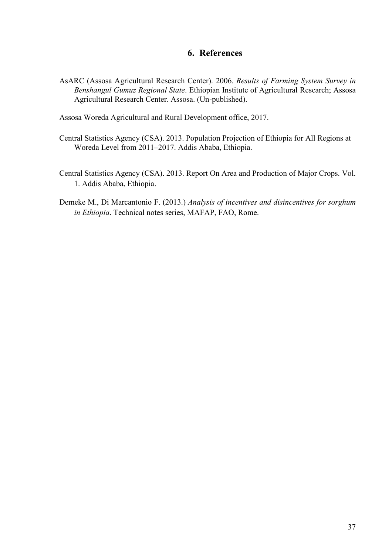# **6. References**

<span id="page-37-0"></span>AsARC (Assosa Agricultural Research Center). 2006. *Results of Farming System Survey in Benshangul Gumuz Regional State*. Ethiopian Institute of Agricultural Research; Assosa Agricultural Research Center. Assosa. (Un-published).

Assosa Woreda Agricultural and Rural Development office, 2017.

- Central Statistics Agency (CSA). 2013. Population Projection of Ethiopia for All Regions at Woreda Level from 2011–2017. Addis Ababa, Ethiopia.
- Central Statistics Agency (CSA). 2013. Report On Area and Production of Major Crops. Vol. 1. Addis Ababa, Ethiopia.
- Demeke M., Di Marcantonio F. (2013.) *Analysis of incentives and disincentives for sorghum in Ethiopia*. Technical notes series, MAFAP, FAO, Rome.